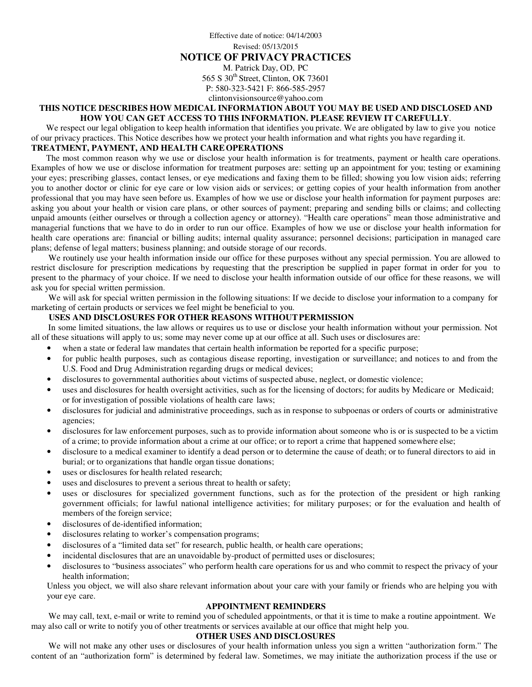Effective date of notice: 04/14/2003 Revised: 05/13/2015 **NOTICE OF PRIVACY PRACTICES**

> M. Patrick Day, OD, PC 565 S 30<sup>th</sup> Street, Clinton, OK 73601 P: 580-323-5421 F: 866-585-2957 clintonvisionsource@yahoo.com

# **THIS NOTICE DESCRIBES HOW MEDICAL INFORMATION ABOUT YOU MAY BE USED AND DISCLOSED AND**

### **HOW YOU CAN GET ACCESS TO THIS INFORMATION. PLEASE REVIEW IT CAREFULLY**.

We respect our legal obligation to keep health information that identifies you private. We are obligated by law to give you notice of our privacy practices. This Notice describes how we protect your health information and what rights you have regarding it.

## **TREATMENT, PAYMENT, AND HEALTH CARE OPERATIONS**

The most common reason why we use or disclose your health information is for treatments, payment or health care operations. Examples of how we use or disclose information for treatment purposes are: setting up an appointment for you; testing or examining your eyes; prescribing glasses, contact lenses, or eye medications and faxing them to be filled; showing you low vision aids; referring you to another doctor or clinic for eye care or low vision aids or services; or getting copies of your health information from another professional that you may have seen before us. Examples of how we use or disclose your health information for payment purposes are: asking you about your health or vision care plans, or other sources of payment; preparing and sending bills or claims; and collecting unpaid amounts (either ourselves or through a collection agency or attorney). "Health care operations" mean those administrative and managerial functions that we have to do in order to run our office. Examples of how we use or disclose your health information for health care operations are: financial or billing audits; internal quality assurance; personnel decisions; participation in managed care plans; defense of legal matters; business planning; and outside storage of our records.

We routinely use your health information inside our office for these purposes without any special permission. You are allowed to restrict disclosure for prescription medications by requesting that the prescription be supplied in paper format in order for you to present to the pharmacy of your choice. If we need to disclose your health information outside of our office for these reasons, we will ask you for special written permission.

We will ask for special written permission in the following situations: If we decide to disclose your information to a company for marketing of certain products or services we feel might be beneficial to you.

#### **USES AND DISCLOSURES FOR OTHER REASONS WITHOUT PERMISSION**

In some limited situations, the law allows or requires us to use or disclose your health information without your permission. Not all of these situations will apply to us; some may never come up at our office at all. Such uses or disclosures are:

- when a state or federal law mandates that certain health information be reported for a specific purpose;
- for public health purposes, such as contagious disease reporting, investigation or surveillance; and notices to and from the U.S. Food and Drug Administration regarding drugs or medical devices;
- disclosures to governmental authorities about victims of suspected abuse, neglect, or domestic violence;
- uses and disclosures for health oversight activities, such as for the licensing of doctors; for audits by Medicare or Medicaid; or for investigation of possible violations of health care laws;
- disclosures for judicial and administrative proceedings, such as in response to subpoenas or orders of courts or administrative agencies;
- disclosures for law enforcement purposes, such as to provide information about someone who is or is suspected to be a victim of a crime; to provide information about a crime at our office; or to report a crime that happened somewhere else;
- disclosure to a medical examiner to identify a dead person or to determine the cause of death; or to funeral directors to aid in burial; or to organizations that handle organ tissue donations;
- uses or disclosures for health related research;
- uses and disclosures to prevent a serious threat to health or safety;
- uses or disclosures for specialized government functions, such as for the protection of the president or high ranking government officials; for lawful national intelligence activities; for military purposes; or for the evaluation and health of members of the foreign service;
- disclosures of de-identified information;
- disclosures relating to worker's compensation programs;
- disclosures of a "limited data set" for research, public health, or health care operations;
- incidental disclosures that are an unavoidable by-product of permitted uses or disclosures;
- disclosures to "business associates" who perform health care operations for us and who commit to respect the privacy of your health information;

Unless you object, we will also share relevant information about your care with your family or friends who are helping you with your eye care.

#### **APPOINTMENT REMINDERS**

We may call, text, e-mail or write to remind you of scheduled appointments, or that it is time to make a routine appointment. We may also call or write to notify you of other treatments or services available at our office that might help you.

#### **OTHER USES AND DISCLOSURES**

We will not make any other uses or disclosures of your health information unless you sign a written "authorization form." The content of an "authorization form" is determined by federal law. Sometimes, we may initiate the authorization process if the use or